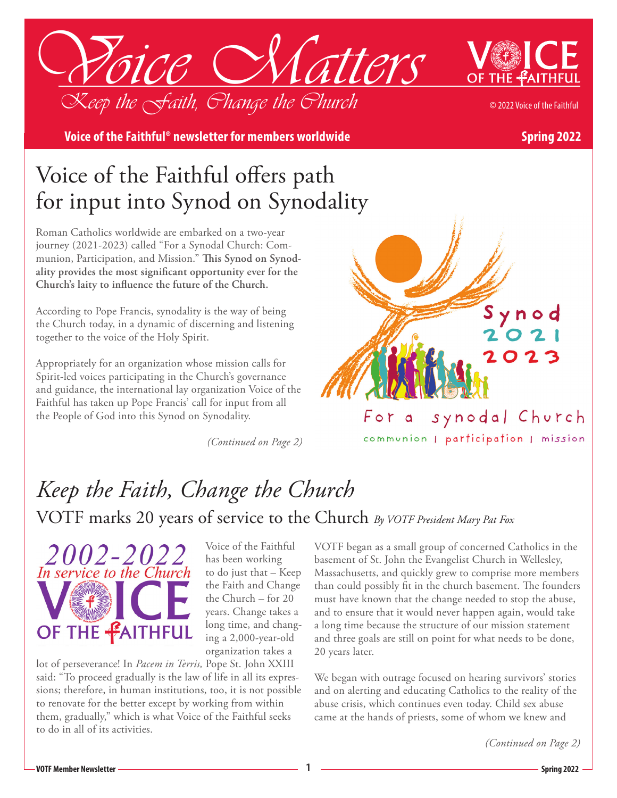



**Voice of the Faithful® newsletter for members worldwide and spring 2022** 

## Voice of the Faithful offers path for input into Synod on Synodality

Roman Catholics worldwide are embarked on a two-year journey (2021-2023) called "For a Synodal Church: Communion, Participation, and Mission." **This Synod on Synodality provides the most significant opportunity ever for the Church's laity to influence the future of the Church.**

According to Pope Francis, synodality is the way of being the Church today, in a dynamic of discerning and listening together to the voice of the Holy Spirit.

Appropriately for an organization whose mission calls for Spirit-led voices participating in the Church's governance and guidance, the international lay organization Voice of the Faithful has taken up Pope Francis' call for input from all the People of God into this Synod on Synodality.

*(Continued on Page 2)*



communion | participation | mission

# *Keep the Faith, Change the Church* VOTF marks 20 years of service to the Church *By VOTF President Mary Pat Fox*



Voice of the Faithful has been working to do just that – Keep the Faith and Change the Church – for 20 years. Change takes a long time, and changing a 2,000-year-old organization takes a

lot of perseverance! In *Pacem in Terris,* Pope St. John XXIII said: "To proceed gradually is the law of life in all its expressions; therefore, in human institutions, too, it is not possible to renovate for the better except by working from within them, gradually," which is what Voice of the Faithful seeks to do in all of its activities.

VOTF began as a small group of concerned Catholics in the basement of St. John the Evangelist Church in Wellesley, Massachusetts, and quickly grew to comprise more members than could possibly fit in the church basement. The founders must have known that the change needed to stop the abuse, and to ensure that it would never happen again, would take a long time because the structure of our mission statement and three goals are still on point for what needs to be done, 20 years later.

We began with outrage focused on hearing survivors' stories and on alerting and educating Catholics to the reality of the abuse crisis, which continues even today. Child sex abuse came at the hands of priests, some of whom we knew and

*(Continued on Page 2)*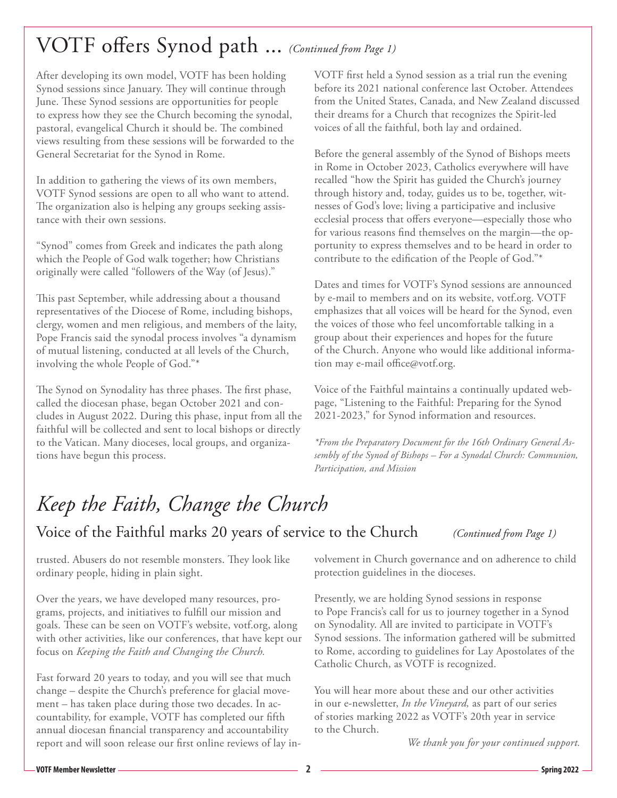### VOTF offers Synod path ... *(Continued from Page 1)*

After developing its own model, VOTF has been holding Synod sessions since January. They will continue through June. These Synod sessions are opportunities for people to express how they see the Church becoming the synodal, pastoral, evangelical Church it should be. The combined views resulting from these sessions will be forwarded to the General Secretariat for the Synod in Rome.

In addition to gathering the views of its own members, VOTF Synod sessions are open to all who want to attend. The organization also is helping any groups seeking assistance with their own sessions.

"Synod" comes from Greek and indicates the path along which the People of God walk together; how Christians originally were called "followers of the Way (of Jesus)."

This past September, while addressing about a thousand representatives of the Diocese of Rome, including bishops, clergy, women and men religious, and members of the laity, Pope Francis said the synodal process involves "a dynamism of mutual listening, conducted at all levels of the Church, involving the whole People of God."\*

The Synod on Synodality has three phases. The first phase, called the diocesan phase, began October 2021 and concludes in August 2022. During this phase, input from all the faithful will be collected and sent to local bishops or directly to the Vatican. Many dioceses, local groups, and organizations have begun this process.

VOTF first held a Synod session as a trial run the evening before its 2021 national conference last October. Attendees from the United States, Canada, and New Zealand discussed their dreams for a Church that recognizes the Spirit-led voices of all the faithful, both lay and ordained.

Before the general assembly of the Synod of Bishops meets in Rome in October 2023, Catholics everywhere will have recalled "how the Spirit has guided the Church's journey through history and, today, guides us to be, together, witnesses of God's love; living a participative and inclusive ecclesial process that offers everyone—especially those who for various reasons find themselves on the margin—the opportunity to express themselves and to be heard in order to contribute to the edification of the People of God."\*

Dates and times for VOTF's Synod sessions are announced by e-mail to members and on its website, votf.org. VOTF emphasizes that all voices will be heard for the Synod, even the voices of those who feel uncomfortable talking in a group about their experiences and hopes for the future of the Church. Anyone who would like additional information may e-mail office@votf.org.

Voice of the Faithful maintains a continually updated webpage, "Listening to the Faithful: Preparing for the Synod 2021-2023," for Synod information and resources.

*\*From the Preparatory Document for the 16th Ordinary General Assembly of the Synod of Bishops – For a Synodal Church: Communion, Participation, and Mission*

## *Keep the Faith, Change the Church*

Voice of the Faithful marks 20 years of service to the Church *(Continued from Page 1)*

trusted. Abusers do not resemble monsters. They look like ordinary people, hiding in plain sight.

Over the years, we have developed many resources, programs, projects, and initiatives to fulfill our mission and goals. These can be seen on VOTF's website, votf.org, along with other activities, like our conferences, that have kept our focus on *Keeping the Faith and Changing the Church.*

Fast forward 20 years to today, and you will see that much change – despite the Church's preference for glacial movement – has taken place during those two decades. In accountability, for example, VOTF has completed our fifth annual diocesan financial transparency and accountability report and will soon release our first online reviews of lay involvement in Church governance and on adherence to child protection guidelines in the dioceses.

Presently, we are holding Synod sessions in response to Pope Francis's call for us to journey together in a Synod on Synodality. All are invited to participate in VOTF's Synod sessions. The information gathered will be submitted to Rome, according to guidelines for Lay Apostolates of the Catholic Church, as VOTF is recognized.

You will hear more about these and our other activities in our e-newsletter, *In the Vineyard,* as part of our series of stories marking 2022 as VOTF's 20th year in service to the Church.

*We thank you for your continued support.*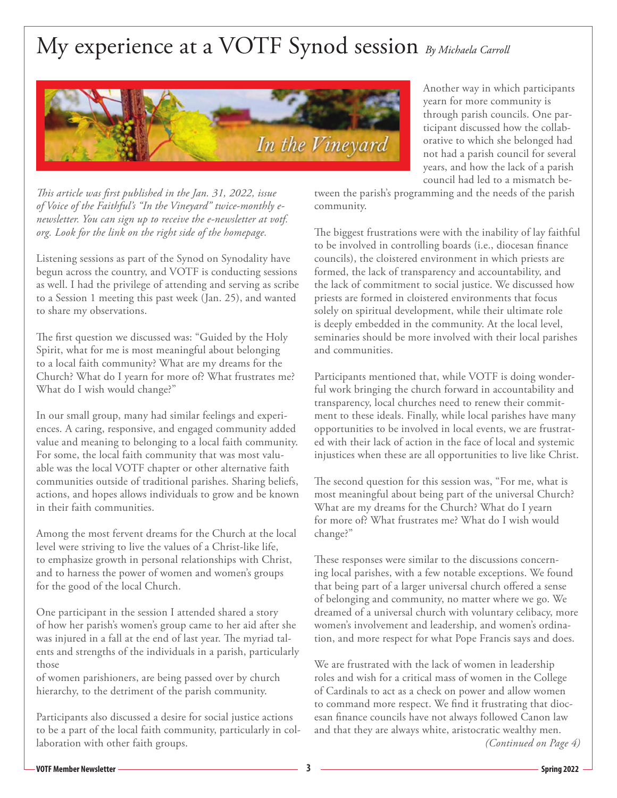## My experience at a VOTF Synod session *By Michaela Carroll*



Another way in which participants yearn for more community is through parish councils. One participant discussed how the collaborative to which she belonged had not had a parish council for several years, and how the lack of a parish council had led to a mismatch be-

*This article was first published in the Jan. 31, 2022, issue of Voice of the Faithful's "In the Vineyard" twice-monthly enewsletter. You can sign up to receive the e-newsletter at votf. org. Look for the link on the right side of the homepage.*

Listening sessions as part of the Synod on Synodality have begun across the country, and VOTF is conducting sessions as well. I had the privilege of attending and serving as scribe to a Session 1 meeting this past week (Jan. 25), and wanted to share my observations.

The first question we discussed was: "Guided by the Holy Spirit, what for me is most meaningful about belonging to a local faith community? What are my dreams for the Church? What do I yearn for more of? What frustrates me? What do I wish would change?"

In our small group, many had similar feelings and experiences. A caring, responsive, and engaged community added value and meaning to belonging to a local faith community. For some, the local faith community that was most valuable was the local VOTF chapter or other alternative faith communities outside of traditional parishes. Sharing beliefs, actions, and hopes allows individuals to grow and be known in their faith communities.

Among the most fervent dreams for the Church at the local level were striving to live the values of a Christ-like life, to emphasize growth in personal relationships with Christ, and to harness the power of women and women's groups for the good of the local Church.

One participant in the session I attended shared a story of how her parish's women's group came to her aid after she was injured in a fall at the end of last year. The myriad talents and strengths of the individuals in a parish, particularly those

of women parishioners, are being passed over by church hierarchy, to the detriment of the parish community.

Participants also discussed a desire for social justice actions to be a part of the local faith community, particularly in collaboration with other faith groups.

tween the parish's programming and the needs of the parish community.

The biggest frustrations were with the inability of lay faithful to be involved in controlling boards (i.e., diocesan finance councils), the cloistered environment in which priests are formed, the lack of transparency and accountability, and the lack of commitment to social justice. We discussed how priests are formed in cloistered environments that focus solely on spiritual development, while their ultimate role is deeply embedded in the community. At the local level, seminaries should be more involved with their local parishes and communities.

Participants mentioned that, while VOTF is doing wonderful work bringing the church forward in accountability and transparency, local churches need to renew their commitment to these ideals. Finally, while local parishes have many opportunities to be involved in local events, we are frustrated with their lack of action in the face of local and systemic injustices when these are all opportunities to live like Christ.

The second question for this session was, "For me, what is most meaningful about being part of the universal Church? What are my dreams for the Church? What do I yearn for more of? What frustrates me? What do I wish would change?"

These responses were similar to the discussions concerning local parishes, with a few notable exceptions. We found that being part of a larger universal church offered a sense of belonging and community, no matter where we go. We dreamed of a universal church with voluntary celibacy, more women's involvement and leadership, and women's ordination, and more respect for what Pope Francis says and does.

We are frustrated with the lack of women in leadership roles and wish for a critical mass of women in the College of Cardinals to act as a check on power and allow women to command more respect. We find it frustrating that diocesan finance councils have not always followed Canon law and that they are always white, aristocratic wealthy men. *(Continued on Page 4)*